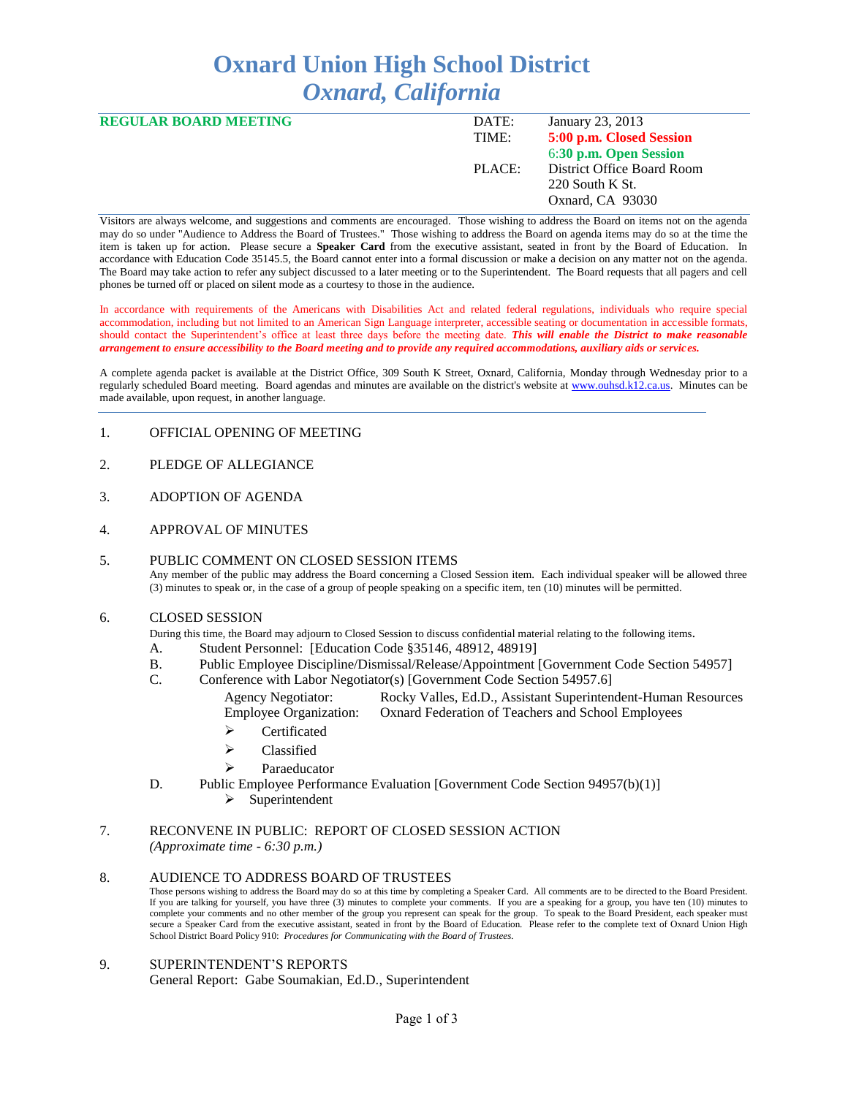# **Oxnard Union High School District** *Oxnard, California*

| DATE:  | January 23, 2013           |
|--------|----------------------------|
| TIME:  | 5:00 p.m. Closed Session   |
|        | 6:30 p.m. Open Session     |
| PLACE: | District Office Board Room |
|        | 220 South K St.            |
|        | Oxnard, CA 93030           |
|        |                            |

Visitors are always welcome, and suggestions and comments are encouraged. Those wishing to address the Board on items not on the agenda may do so under "Audience to Address the Board of Trustees." Those wishing to address the Board on agenda items may do so at the time the item is taken up for action. Please secure a **Speaker Card** from the executive assistant, seated in front by the Board of Education. In accordance with Education Code 35145.5, the Board cannot enter into a formal discussion or make a decision on any matter not on the agenda. The Board may take action to refer any subject discussed to a later meeting or to the Superintendent. The Board requests that all pagers and cell phones be turned off or placed on silent mode as a courtesy to those in the audience.

In accordance with requirements of the Americans with Disabilities Act and related federal regulations, individuals who require special accommodation, including but not limited to an American Sign Language interpreter, accessible seating or documentation in accessible formats, should contact the Superintendent's office at least three days before the meeting date. *This will enable the District to make reasonable arrangement to ensure accessibility to the Board meeting and to provide any required accommodations, auxiliary aids or services.* 

A complete agenda packet is available at the District Office, 309 South K Street, Oxnard, California, Monday through Wednesday prior to a regularly scheduled Board meeting. Board agendas and minutes are available on the district's website at [www.ouhsd.k12.ca.us.](http://www.ouhsd.k12.ca.us/)Minutes can be made available, upon request, in another language.

### 1. OFFICIAL OPENING OF MEETING

- 2. PLEDGE OF ALLEGIANCE
- 3. ADOPTION OF AGENDA
- 4. APPROVAL OF MINUTES

## 5. PUBLIC COMMENT ON CLOSED SESSION ITEMS

Any member of the public may address the Board concerning a Closed Session item. Each individual speaker will be allowed three (3) minutes to speak or, in the case of a group of people speaking on a specific item, ten (10) minutes will be permitted.

#### 6. CLOSED SESSION

During this time, the Board may adjourn to Closed Session to discuss confidential material relating to the following items.

- A. Student Personnel: [Education Code §35146, 48912, 48919]
- B. Public Employee Discipline/Dismissal/Release/Appointment [Government Code Section 54957]
- C. Conference with Labor Negotiator(s) [Government Code Section 54957.6] Agency Negotiator: Rocky Valles, Ed.D., Assistant Superintendent-Human Resources Employee Organization: Oxnard Federation of Teachers and School Employees
	- > Certificated
	- > Classified
	- Paraeducator
- D. Public Employee Performance Evaluation [Government Code Section 94957(b)(1)]
	- $\triangleright$  Superintendent

## 7. RECONVENE IN PUBLIC: REPORT OF CLOSED SESSION ACTION *(Approximate time - 6:30 p.m.)*

#### 8. AUDIENCE TO ADDRESS BOARD OF TRUSTEES

Those persons wishing to address the Board may do so at this time by completing a Speaker Card. All comments are to be directed to the Board President. If you are talking for yourself, you have three (3) minutes to complete your comments. If you are a speaking for a group, you have ten (10) minutes to complete your comments and no other member of the group you represent can speak for the group. To speak to the Board President, each speaker must secure a Speaker Card from the executive assistant, seated in front by the Board of Education. Please refer to the complete text of Oxnard Union High School District Board Policy 910: *Procedures for Communicating with the Board of Trustees.*

#### 9. SUPERINTENDENT'S REPORTS General Report: Gabe Soumakian, Ed.D., Superintendent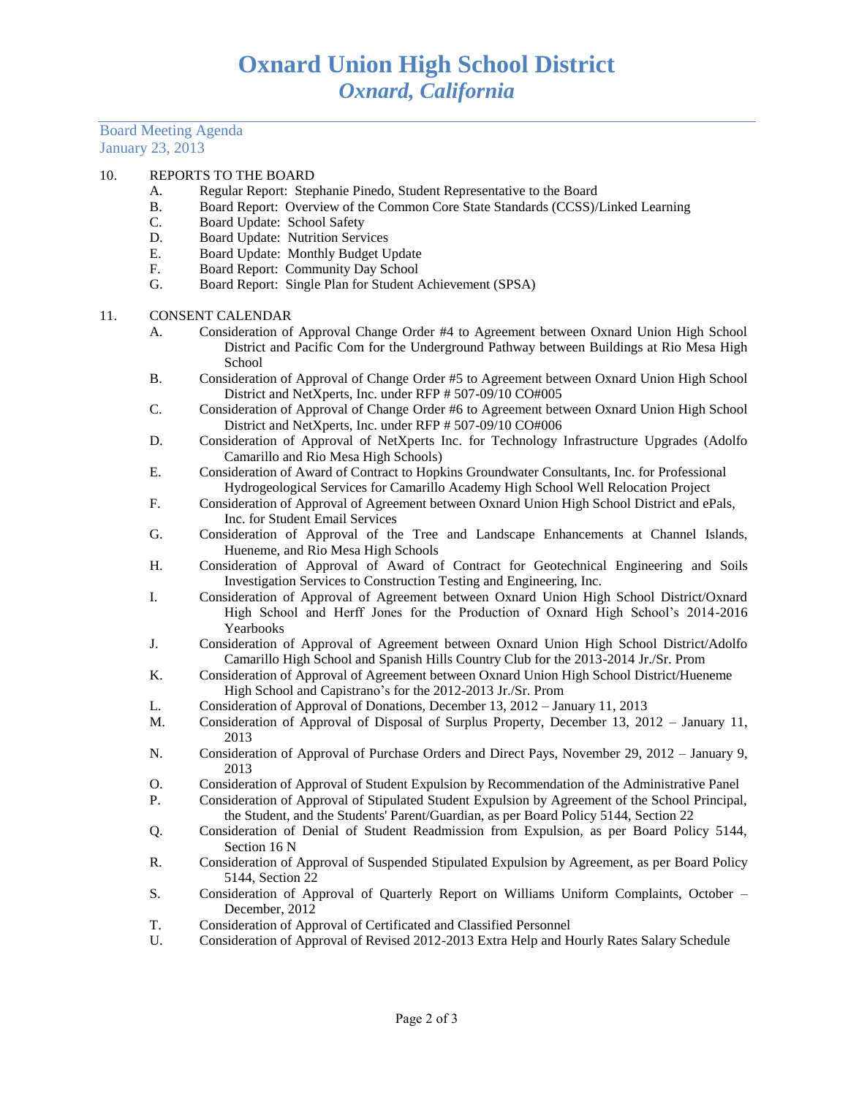Board Meeting Agenda January 23, 2013

## 10. REPORTS TO THE BOARD

- A. Regular Report: Stephanie Pinedo, Student Representative to the Board
- B. Board Report: Overview of the Common Core State Standards (CCSS)/Linked Learning
- C. Board Update: School Safety
- D. Board Update: Nutrition Services
- E. Board Update: Monthly Budget Update
- F. Board Report: Community Day School
- G. Board Report: Single Plan for Student Achievement (SPSA)

#### 11. CONSENT CALENDAR

- A. Consideration of Approval Change Order #4 to Agreement between Oxnard Union High School District and Pacific Com for the Underground Pathway between Buildings at Rio Mesa High School
- B. Consideration of Approval of Change Order #5 to Agreement between Oxnard Union High School District and NetXperts, Inc. under RFP # 507-09/10 CO#005
- C. Consideration of Approval of Change Order #6 to Agreement between Oxnard Union High School District and NetXperts, Inc. under RFP # 507-09/10 CO#006
- D. Consideration of Approval of NetXperts Inc. for Technology Infrastructure Upgrades (Adolfo Camarillo and Rio Mesa High Schools)
- E. Consideration of Award of Contract to Hopkins Groundwater Consultants, Inc. for Professional Hydrogeological Services for Camarillo Academy High School Well Relocation Project
- F. Consideration of Approval of Agreement between Oxnard Union High School District and ePals, Inc. for Student Email Services
- G. Consideration of Approval of the Tree and Landscape Enhancements at Channel Islands, Hueneme, and Rio Mesa High Schools
- H. Consideration of Approval of Award of Contract for Geotechnical Engineering and Soils Investigation Services to Construction Testing and Engineering, Inc.
- I. Consideration of Approval of Agreement between Oxnard Union High School District/Oxnard High School and Herff Jones for the Production of Oxnard High School's 2014-2016 Yearbooks
- J. Consideration of Approval of Agreement between Oxnard Union High School District/Adolfo Camarillo High School and Spanish Hills Country Club for the 2013-2014 Jr./Sr. Prom
- K. Consideration of Approval of Agreement between Oxnard Union High School District/Hueneme High School and Capistrano's for the 2012-2013 Jr./Sr. Prom
- L. Consideration of Approval of Donations, December 13, 2012 January 11, 2013
- M. Consideration of Approval of Disposal of Surplus Property, December 13, 2012 January 11, 2013
- N. Consideration of Approval of Purchase Orders and Direct Pays, November 29, 2012 January 9, 2013
- O. Consideration of Approval of Student Expulsion by Recommendation of the Administrative Panel
- P. Consideration of Approval of Stipulated Student Expulsion by Agreement of the School Principal, the Student, and the Students' Parent/Guardian, as per Board Policy 5144, Section 22
- Q. Consideration of Denial of Student Readmission from Expulsion, as per Board Policy 5144, Section 16 N
- R. Consideration of Approval of Suspended Stipulated Expulsion by Agreement, as per Board Policy 5144, Section 22
- S. Consideration of Approval of Quarterly Report on Williams Uniform Complaints, October December, 2012
- T. Consideration of Approval of Certificated and Classified Personnel
- U. Consideration of Approval of Revised 2012-2013 Extra Help and Hourly Rates Salary Schedule